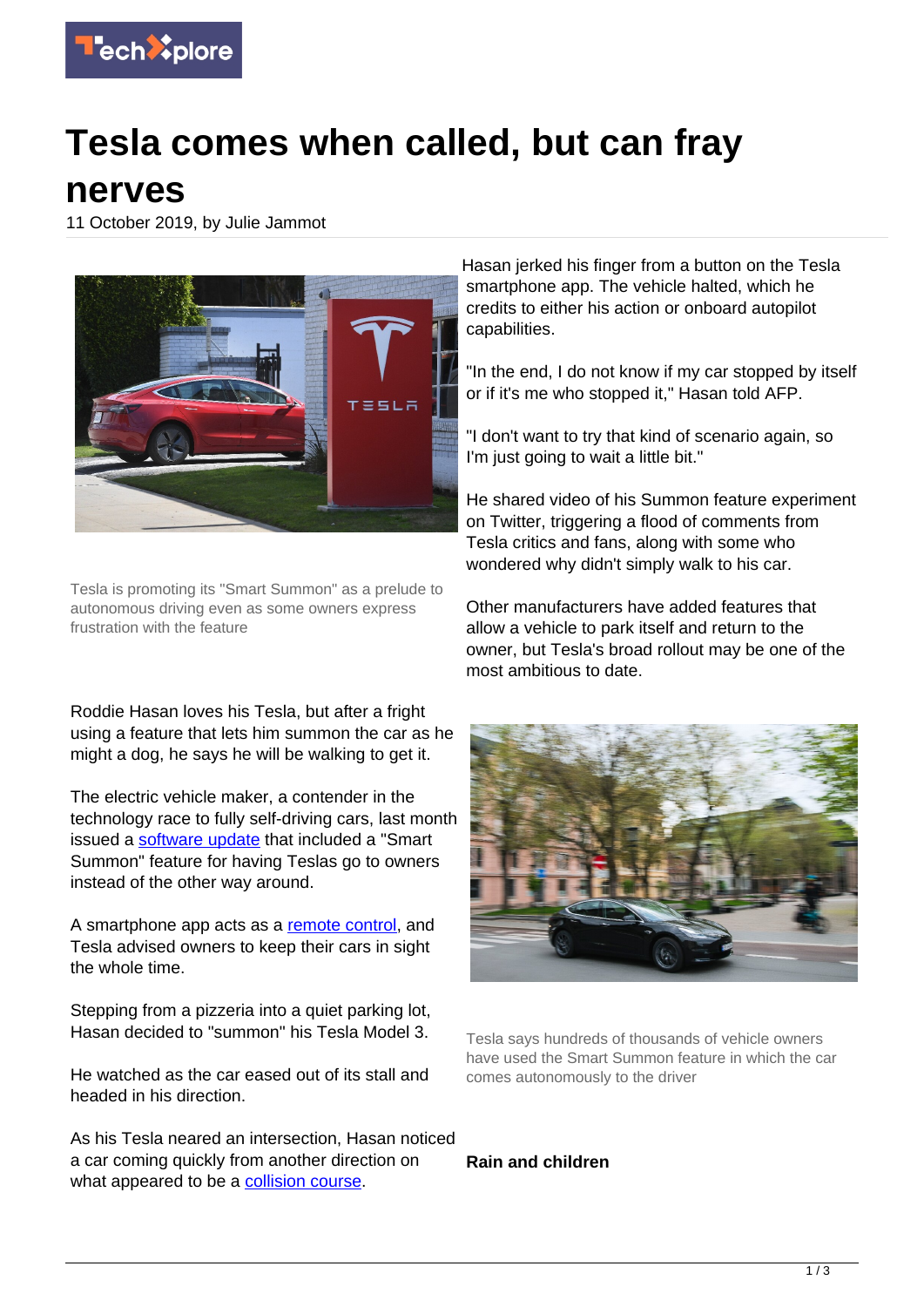

## **Tesla comes when called, but can fray nerves**

11 October 2019, by Julie Jammot



Tesla is promoting its "Smart Summon" as a prelude to autonomous driving even as some owners express frustration with the feature

Roddie Hasan loves his Tesla, but after a fright using a feature that lets him summon the car as he might a dog, he says he will be walking to get it.

The electric vehicle maker, a contender in the technology race to fully self-driving cars, last month issued a [software update](https://techxplore.com/tags/software+update/) that included a "Smart Summon" feature for having Teslas go to owners instead of the other way around.

A smartphone app acts as a [remote control,](https://techxplore.com/tags/remote+control/) and Tesla advised owners to keep their cars in sight the whole time.

Stepping from a pizzeria into a quiet parking lot, Hasan decided to "summon" his Tesla Model 3.

He watched as the car eased out of its stall and headed in his direction.

As his Tesla neared an intersection, Hasan noticed a car coming quickly from another direction on what appeared to be a [collision course](https://techxplore.com/tags/collision+course/).

Hasan jerked his finger from a button on the Tesla smartphone app. The vehicle halted, which he credits to either his action or onboard autopilot capabilities.

"In the end, I do not know if my car stopped by itself or if it's me who stopped it," Hasan told AFP.

"I don't want to try that kind of scenario again, so I'm just going to wait a little bit."

He shared video of his Summon feature experiment on Twitter, triggering a flood of comments from Tesla critics and fans, along with some who wondered why didn't simply walk to his car.

Other manufacturers have added features that allow a vehicle to park itself and return to the owner, but Tesla's broad rollout may be one of the most ambitious to date.



Tesla says hundreds of thousands of vehicle owners have used the Smart Summon feature in which the car comes autonomously to the driver

**Rain and children**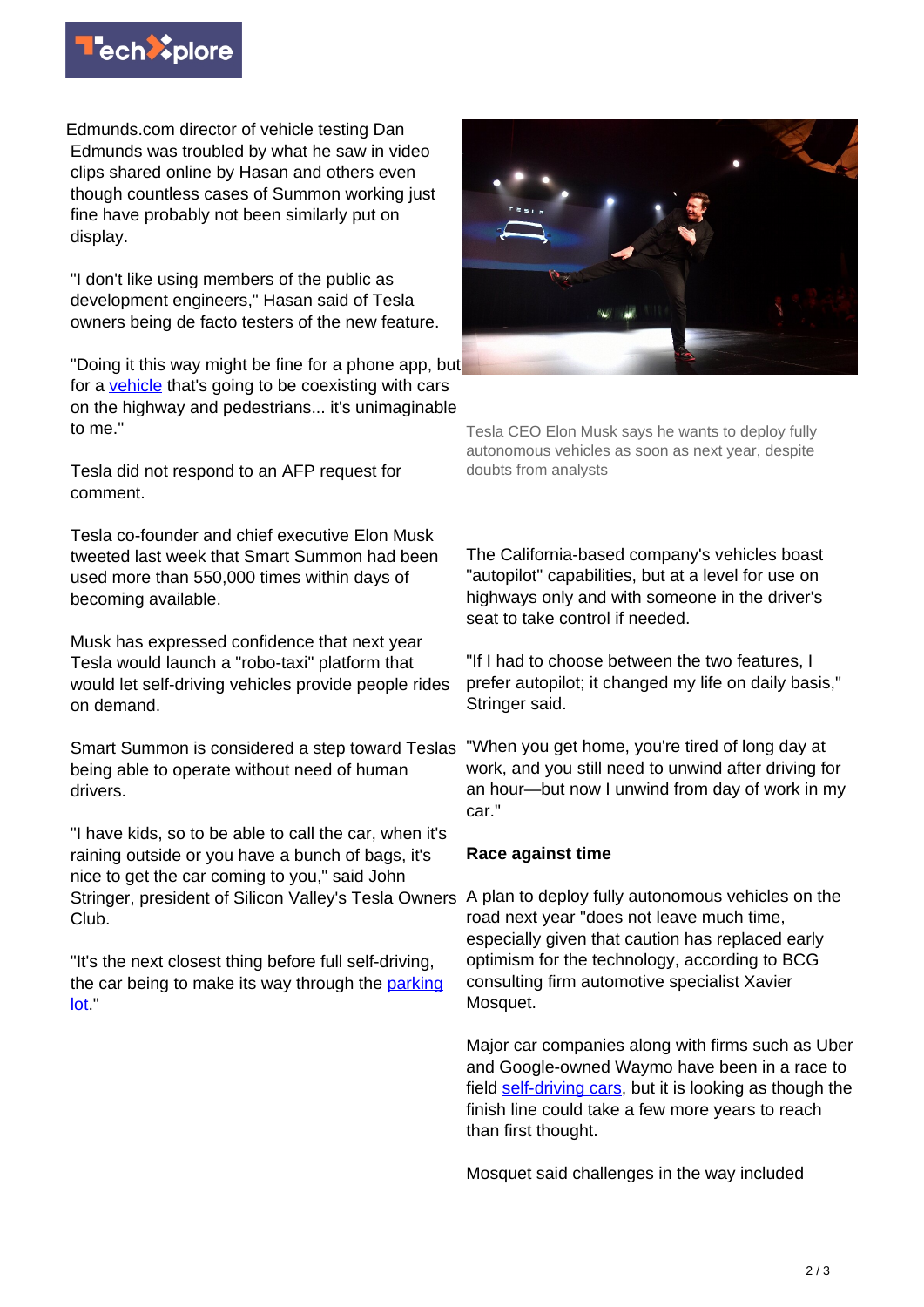

Edmunds.com director of vehicle testing Dan Edmunds was troubled by what he saw in video clips shared online by Hasan and others even though countless cases of Summon working just fine have probably not been similarly put on display.

"I don't like using members of the public as development engineers," Hasan said of Tesla owners being de facto testers of the new feature.

"Doing it this way might be fine for a phone app, but for a [vehicle](https://techxplore.com/tags/vehicle/) that's going to be coexisting with cars on the highway and pedestrians... it's unimaginable to me."

Tesla did not respond to an AFP request for comment.

Tesla co-founder and chief executive Elon Musk tweeted last week that Smart Summon had been used more than 550,000 times within days of becoming available.

Musk has expressed confidence that next year Tesla would launch a "robo-taxi" platform that would let self-driving vehicles provide people rides on demand.

Smart Summon is considered a step toward Teslas being able to operate without need of human drivers.

"I have kids, so to be able to call the car, when it's raining outside or you have a bunch of bags, it's nice to get the car coming to you," said John Stringer, president of Silicon Valley's Tesla Owners A plan to deploy fully autonomous vehicles on the Club.

"It's the next closest thing before full self-driving, the car being to make its way through the [parking](https://techxplore.com/tags/parking+lot/) [lot.](https://techxplore.com/tags/parking+lot/)"



Tesla CEO Elon Musk says he wants to deploy fully autonomous vehicles as soon as next year, despite doubts from analysts

The California-based company's vehicles boast "autopilot" capabilities, but at a level for use on highways only and with someone in the driver's seat to take control if needed.

"If I had to choose between the two features, I prefer autopilot; it changed my life on daily basis," Stringer said.

"When you get home, you're tired of long day at work, and you still need to unwind after driving for an hour—but now I unwind from day of work in my car."

## **Race against time**

road next year "does not leave much time, especially given that caution has replaced early optimism for the technology, according to BCG consulting firm automotive specialist Xavier Mosquet.

Major car companies along with firms such as Uber and Google-owned Waymo have been in a race to field [self-driving cars,](https://techxplore.com/tags/self-driving+cars/) but it is looking as though the finish line could take a few more years to reach than first thought.

Mosquet said challenges in the way included